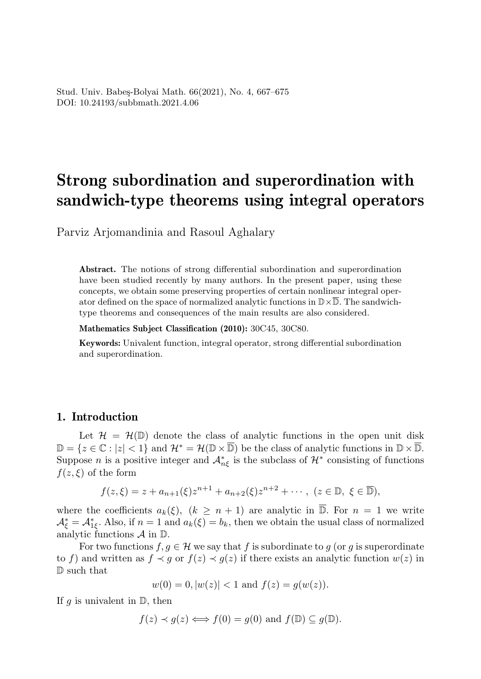## Strong subordination and superordination with sandwich-type theorems using integral operators

Parviz Arjomandinia and Rasoul Aghalary

Abstract. The notions of strong differential subordination and superordination have been studied recently by many authors. In the present paper, using these concepts, we obtain some preserving properties of certain nonlinear integral operator defined on the space of normalized analytic functions in  $\mathbb{D}\times\overline{\mathbb{D}}$ . The sandwichtype theorems and consequences of the main results are also considered.

Mathematics Subject Classification (2010): 30C45, 30C80.

Keywords: Univalent function, integral operator, strong differential subordination and superordination.

## 1. Introduction

Let  $\mathcal{H} = \mathcal{H}(\mathbb{D})$  denote the class of analytic functions in the open unit disk  $\mathbb{D} = \{z \in \mathbb{C} : |z| < 1\}$  and  $\mathcal{H}^* = \mathcal{H}(\mathbb{D} \times \overline{\mathbb{D}})$  be the class of analytic functions in  $\mathbb{D} \times \overline{\mathbb{D}}$ . Suppose *n* is a positive integer and  $\mathcal{A}_{n\xi}^*$  is the subclass of  $\mathcal{H}^*$  consisting of functions  $f(z,\xi)$  of the form

$$
f(z,\xi) = z + a_{n+1}(\xi)z^{n+1} + a_{n+2}(\xi)z^{n+2} + \cdots, \ (z \in \mathbb{D}, \ \xi \in \overline{\mathbb{D}}),
$$

where the coefficients  $a_k(\xi)$ ,  $(k \geq n+1)$  are analytic in  $\overline{D}$ . For  $n=1$  we write  $\mathcal{A}_{\xi}^* = \mathcal{A}_{1\xi}^*$ . Also, if  $n = 1$  and  $a_k(\xi) = b_k$ , then we obtain the usual class of normalized analytic functions  $\mathcal A$  in  $\mathbb D$ .

For two functions  $f, g \in \mathcal{H}$  we say that f is subordinate to g (or g is superordinate to f) and written as  $f \prec q$  or  $f(z) \prec q(z)$  if there exists an analytic function  $w(z)$  in D such that

$$
w(0) = 0, |w(z)| < 1
$$
 and  $f(z) = g(w(z)).$ 

If g is univalent in  $\mathbb{D}$ , then

$$
f(z) \prec g(z) \Longleftrightarrow f(0) = g(0)
$$
 and  $f(\mathbb{D}) \subseteq g(\mathbb{D})$ .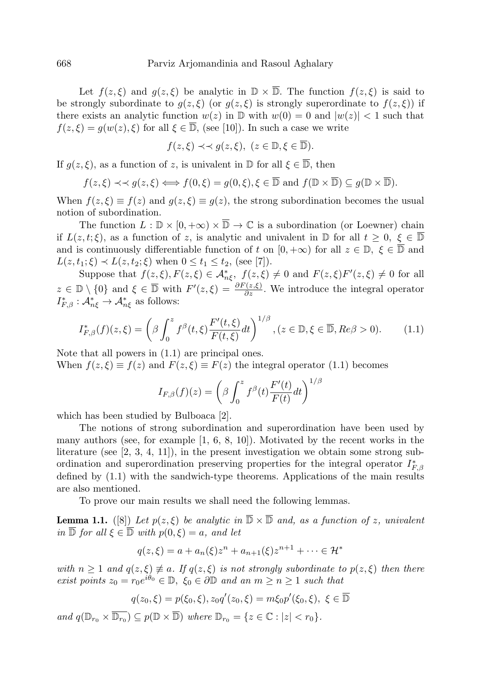Let  $f(z,\xi)$  and  $g(z,\xi)$  be analytic in  $\mathbb{D} \times \overline{\mathbb{D}}$ . The function  $f(z,\xi)$  is said to be strongly subordinate to  $g(z,\xi)$  (or  $g(z,\xi)$  is strongly superordinate to  $f(z,\xi)$ ) if there exists an analytic function  $w(z)$  in D with  $w(0) = 0$  and  $|w(z)| < 1$  such that  $f(z,\xi) = g(w(z),\xi)$  for all  $\xi \in \overline{\mathbb{D}}$ , (see [10]). In such a case we write

$$
f(z,\xi) \prec \prec g(z,\xi), \ (z \in \mathbb{D}, \xi \in \overline{\mathbb{D}}).
$$

If  $q(z,\xi)$ , as a function of z, is univalent in  $\mathbb D$  for all  $\xi \in \overline{\mathbb D}$ , then

$$
f(z,\xi) \prec \prec g(z,\xi) \Longleftrightarrow f(0,\xi) = g(0,\xi), \xi \in \overline{\mathbb{D}}
$$
 and  $f(\mathbb{D} \times \overline{\mathbb{D}}) \subseteq g(\mathbb{D} \times \overline{\mathbb{D}}).$ 

When  $f(z,\xi) \equiv f(z)$  and  $g(z,\xi) \equiv g(z)$ , the strong subordination becomes the usual notion of subordination.

The function  $L : \mathbb{D} \times [0, +\infty) \times \overline{\mathbb{D}} \to \mathbb{C}$  is a subordination (or Loewner) chain if  $L(z, t; \xi)$ , as a function of z, is analytic and univalent in  $\mathbb{D}$  for all  $t \geq 0, \xi \in \overline{\mathbb{D}}$ and is continuously differentiable function of t on  $[0, +\infty)$  for all  $z \in \mathbb{D}$ ,  $\xi \in \overline{\mathbb{D}}$  and  $L(z, t_1; \xi) \prec L(z, t_2; \xi)$  when  $0 \le t_1 \le t_2$ , (see [7]).

Suppose that  $f(z,\xi), F(z,\xi) \in \mathcal{A}_{n\xi}^*$ ,  $f(z,\xi) \neq 0$  and  $F(z,\xi)F'(z,\xi) \neq 0$  for all  $z \in \mathbb{D} \setminus \{0\}$  and  $\xi \in \overline{\mathbb{D}}$  with  $F'(z,\xi) = \frac{\partial F(z,\xi)}{\partial z}$ . We introduce the integral operator  $I_{F,\beta}^* : \mathcal{A}_{n\xi}^* \to \mathcal{A}_{n\xi}^*$  as follows:

$$
I_{F,\beta}^*(f)(z,\xi) = \left(\beta \int_0^z f^\beta(t,\xi) \frac{F'(t,\xi)}{F(t,\xi)} dt\right)^{1/\beta}, (z \in \mathbb{D}, \xi \in \overline{\mathbb{D}}, Re\beta > 0). \tag{1.1}
$$

Note that all powers in (1.1) are principal ones. When  $f(z,\xi) \equiv f(z)$  and  $F(z,\xi) \equiv F(z)$  the integral operator (1.1) becomes

$$
I_{F,\beta}(f)(z) = \left(\beta \int_0^z f^{\beta}(t) \frac{F'(t)}{F(t)} dt\right)^{1/\beta}
$$

which has been studied by Bulboaca [2].

The notions of strong subordination and superordination have been used by many authors (see, for example  $[1, 6, 8, 10]$ ). Motivated by the recent works in the literature (see  $(2, 3, 4, 11)$ ), in the present investigation we obtain some strong subordination and superordination preserving properties for the integral operator  $I_{F,\beta}^*$ defined by (1.1) with the sandwich-type theorems. Applications of the main results are also mentioned.

To prove our main results we shall need the following lemmas.

**Lemma 1.1.** ([8]) Let  $p(z,\xi)$  be analytic in  $\overline{\mathbb{D}} \times \overline{\mathbb{D}}$  and, as a function of z, univalent in  $\overline{\mathbb{D}}$  for all  $\xi \in \overline{\mathbb{D}}$  with  $p(0,\xi) = a$ , and let

$$
q(z,\xi) = a + a_n(\xi)z^n + a_{n+1}(\xi)z^{n+1} + \dots \in \mathcal{H}^*
$$

with  $n \geq 1$  and  $q(z,\xi) \neq a$ . If  $q(z,\xi)$  is not strongly subordinate to  $p(z,\xi)$  then there exist points  $z_0 = r_0 e^{i\theta_0} \in \mathbb{D}$ ,  $\xi_0 \in \partial \mathbb{D}$  and an  $m \geq n \geq 1$  such that

$$
q(z_0,\xi) = p(\xi_0,\xi), z_0 q'(z_0,\xi) = m\xi_0 p'(\xi_0,\xi), \ \xi \in \overline{\mathbb{D}}
$$

and  $q(\mathbb{D}_{r_0} \times \overline{\mathbb{D}_{r_0}}) \subseteq p(\mathbb{D} \times \overline{\mathbb{D}})$  where  $\mathbb{D}_{r_0} = \{z \in \mathbb{C} : |z| < r_0\}.$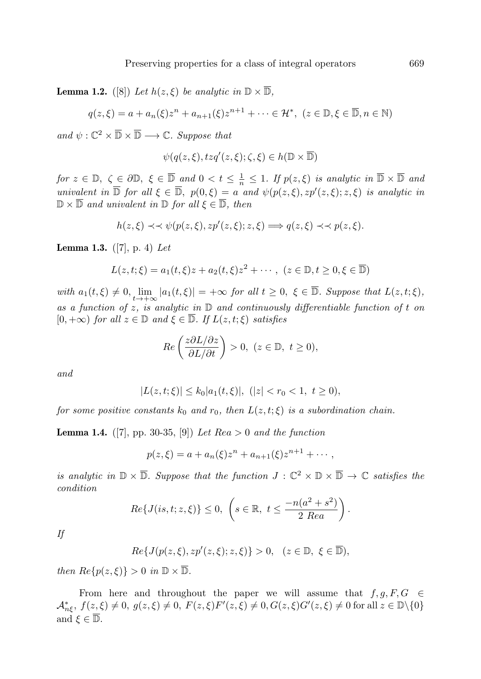**Lemma 1.2.** ([8]) Let  $h(z,\xi)$  be analytic in  $\mathbb{D} \times \overline{\mathbb{D}}$ ,

 $q(z,\xi) = a + a_n(\xi)z^n + a_{n+1}(\xi)z^{n+1} + \cdots \in \mathcal{H}^*, \ (z \in \mathbb{D}, \xi \in \overline{\mathbb{D}}, n \in \mathbb{N})$ 

and  $\psi : \mathbb{C}^2 \times \overline{\mathbb{D}} \times \overline{\mathbb{D}} \longrightarrow \mathbb{C}$ . Suppose that

$$
\psi(q(z,\xi),tzq'(z,\xi);\zeta,\xi)\in h(\mathbb{D}\times\overline{\mathbb{D}})
$$

for  $z \in \mathbb{D}$ ,  $\zeta \in \partial \mathbb{D}$ ,  $\xi \in \overline{\mathbb{D}}$  and  $0 < t \leq \frac{1}{n} \leq 1$ . If  $p(z, \xi)$  is analytic in  $\overline{\mathbb{D}} \times \overline{\mathbb{D}}$  and univalent in  $\overline{\mathbb{D}}$  for all  $\xi \in \overline{\mathbb{D}}$ ,  $p(0,\xi) = a$  and  $\psi(p(z,\xi), zp'(z,\xi); z, \xi)$  is analytic in  $\mathbb{D} \times \overline{\mathbb{D}}$  and univalent in  $\mathbb{D}$  for all  $\xi \in \overline{\mathbb{D}}$ , then

$$
h(z,\xi) \prec \prec \psi(p(z,\xi),zp'(z,\xi);z,\xi) \Longrightarrow q(z,\xi) \prec \prec p(z,\xi).
$$

**Lemma 1.3.** ([7], p. 4) Let

$$
L(z, t; \xi) = a_1(t, \xi)z + a_2(t, \xi)z^2 + \cdots, \ (z \in \mathbb{D}, t \ge 0, \xi \in \overline{\mathbb{D}})
$$

with  $a_1(t,\xi) \neq 0$ ,  $\lim_{t \to +\infty} |a_1(t,\xi)| = +\infty$  for all  $t \geq 0$ ,  $\xi \in \overline{\mathbb{D}}$ . Suppose that  $L(z,t;\xi)$ , as a function of z, is analytic in  $\mathbb D$  and continuously differentiable function of t on  $[0, +\infty)$  for all  $z \in \mathbb{D}$  and  $\xi \in \overline{\mathbb{D}}$ . If  $L(z, t; \xi)$  satisfies

$$
Re\left(\frac{z\partial L/\partial z}{\partial L/\partial t}\right) > 0, \ (z \in \mathbb{D}, \ t \ge 0),
$$

and

$$
|L(z,t;\xi)| \le k_0 |a_1(t,\xi)|, \ (|z| < r_0 < 1, \ t \ge 0),
$$

for some positive constants  $k_0$  and  $r_0$ , then  $L(z, t; \xi)$  is a subordination chain.

**Lemma 1.4.** ([7], pp. 30-35, [9]) Let  $Rea > 0$  and the function

$$
p(z,\xi) = a + a_n(\xi)z^n + a_{n+1}(\xi)z^{n+1} + \cdots,
$$

is analytic in  $\mathbb{D} \times \overline{\mathbb{D}}$ . Suppose that the function  $J : \mathbb{C}^2 \times \mathbb{D} \times \overline{\mathbb{D}} \to \mathbb{C}$  satisfies the condition

$$
Re\{J(is,t;z,\xi)\}\leq 0,\ \left(s\in\mathbb{R},\ t\leq \frac{-n(a^2+s^2)}{2\ Re a}\right).
$$

If

$$
Re\{J(p(z,\xi),zp'(z,\xi);z,\xi)\} > 0, \quad (z \in \mathbb{D}, \xi \in \overline{\mathbb{D}}),
$$

then  $\text{Re}\{p(z,\xi)\} > 0$  in  $\mathbb{D} \times \overline{\mathbb{D}}$ .

From here and throughout the paper we will assume that  $f, g, F, G \in$  $\mathcal{A}^*_{n\xi}, f(z,\xi) \neq 0, g(z,\xi) \neq 0, F(z,\xi)F'(z,\xi) \neq 0, G(z,\xi)G'(z,\xi) \neq 0$  for all  $z \in \mathbb{D}\setminus\{0\}$ and  $\xi \in \overline{\mathbb{D}}$ .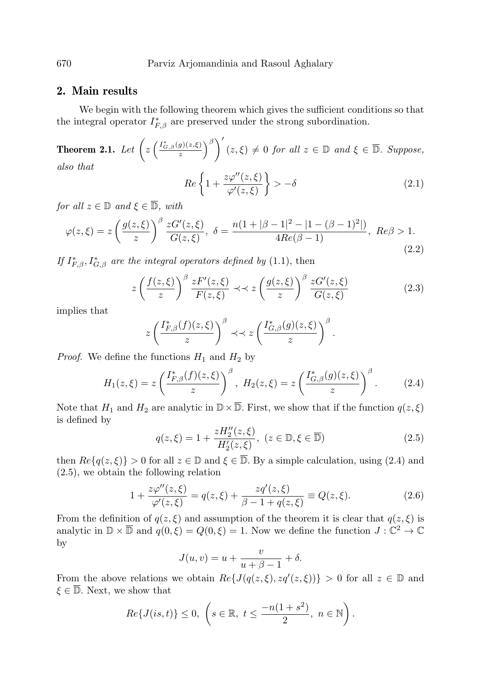## 2. Main results

We begin with the following theorem which gives the sufficient conditions so that the integral operator  $I_{F,\beta}^*$  are preserved under the strong subordination.

**Theorem 2.1.** Let  $\left(z\left(\frac{I_{G,\beta}^*(g)(z,\xi)}{z}\right)^{\beta}\right)'(z,\xi) \neq 0$  for all  $z \in \mathbb{D}$  and  $\xi \in \overline{\mathbb{D}}$ . Suppose, also that

$$
Re\left\{1+\frac{z\varphi''(z,\xi)}{\varphi'(z,\xi)}\right\} > -\delta\tag{2.1}
$$

for all  $z \in \mathbb{D}$  and  $\xi \in \overline{\mathbb{D}}$ , with

$$
\varphi(z,\xi) = z \left(\frac{g(z,\xi)}{z}\right)^{\beta} \frac{zG'(z,\xi)}{G(z,\xi)}, \ \delta = \frac{n(1+|\beta-1|^2 - |1-(\beta-1)^2|)}{4Re(\beta-1)}, \ Re\beta > 1.
$$
\n(2.2)

If  $I_{F,\beta}^*, I_{G,\beta}^*$  are the integral operators defined by (1.1), then

$$
z\left(\frac{f(z,\xi)}{z}\right)^{\beta} \frac{zF'(z,\xi)}{F(z,\xi)} \prec z\left(\frac{g(z,\xi)}{z}\right)^{\beta} \frac{zG'(z,\xi)}{G(z,\xi)}
$$
(2.3)

implies that

$$
z\left(\frac{I_{F,\beta}^*(f)(z,\xi)}{z}\right)^{\beta} \prec\prec z\left(\frac{I_{G,\beta}^*(g)(z,\xi)}{z}\right)^{\beta}.
$$

*Proof.* We define the functions  $H_1$  and  $H_2$  by

$$
H_1(z,\xi) = z \left(\frac{I_{F,\beta}^*(f)(z,\xi)}{z}\right)^{\beta}, \ H_2(z,\xi) = z \left(\frac{I_{G,\beta}^*(g)(z,\xi)}{z}\right)^{\beta}.
$$
 (2.4)

Note that  $H_1$  and  $H_2$  are analytic in  $\mathbb{D}\times\mathbb{D}$ . First, we show that if the function  $q(z,\xi)$ is defined by

$$
q(z,\xi) = 1 + \frac{zH_2''(z,\xi)}{H_2'(z,\xi)}, \ (z \in \mathbb{D}, \xi \in \overline{\mathbb{D}})
$$
 (2.5)

then  $Re\{q(z,\xi)\}\geq 0$  for all  $z\in\mathbb{D}$  and  $\xi\in\mathbb{D}$ . By a simple calculation, using (2.4) and (2.5), we obtain the following relation

$$
1 + \frac{z\varphi''(z,\xi)}{\varphi'(z,\xi)} = q(z,\xi) + \frac{zq'(z,\xi)}{\beta - 1 + q(z,\xi)} \equiv Q(z,\xi). \tag{2.6}
$$

From the definition of  $q(z, \xi)$  and assumption of the theorem it is clear that  $q(z, \xi)$  is analytic in  $\mathbb{D} \times \overline{\mathbb{D}}$  and  $q(0,\xi) = Q(0,\xi) = 1$ . Now we define the function  $J: \mathbb{C}^2 \to \mathbb{C}$ by

$$
J(u, v) = u + \frac{v}{u + \beta - 1} + \delta.
$$

From the above relations we obtain  $Re\{J(q(z,\xi),zq'(z,\xi))\} > 0$  for all  $z \in \mathbb{D}$  and  $\xi \in \overline{\mathbb{D}}$ . Next, we show that

$$
Re\{J(is,t)\}\leq 0,\ \left(s\in\mathbb{R},\ t\leq \frac{-n(1+s^2)}{2},\ n\in\mathbb{N}\right).
$$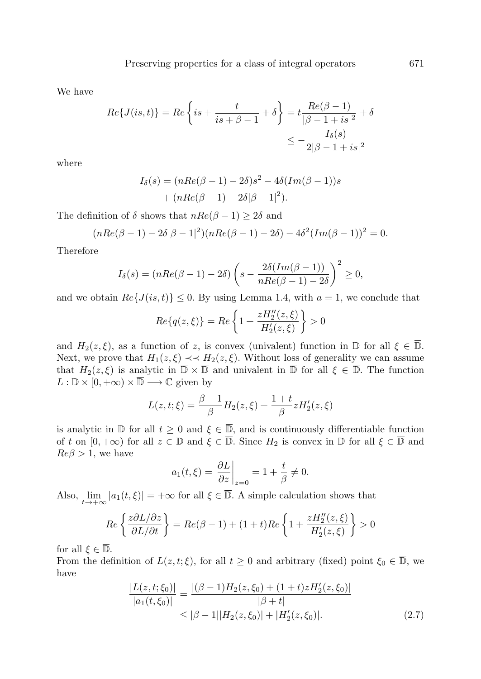We have

$$
Re\{J(is,t)\} = Re\left\{is + \frac{t}{is + \beta - 1} + \delta\right\} = t\frac{Re(\beta - 1)}{|\beta - 1 + is|^2} + \delta
$$
  

$$
\le -\frac{I_\delta(s)}{2|\beta - 1 + is|^2}
$$

where

$$
I_{\delta}(s) = (nRe(\beta - 1) - 2\delta)s^{2} - 4\delta(Im(\beta - 1))s + (nRe(\beta - 1) - 2\delta|\beta - 1|^{2}).
$$

The definition of  $\delta$  shows that  $nRe(\beta - 1) \geq 2\delta$  and

$$
(nRe(\beta - 1) - 2\delta|\beta - 1|^2)(nRe(\beta - 1) - 2\delta) - 4\delta^2(Im(\beta - 1))^2 = 0.
$$

Therefore

$$
I_{\delta}(s) = (nRe(\beta - 1) - 2\delta) \left(s - \frac{2\delta(Im(\beta - 1))}{nRe(\beta - 1) - 2\delta}\right)^2 \ge 0,
$$

and we obtain  $Re\{J(is,t)\}\leq 0$ . By using Lemma 1.4, with  $a=1$ , we conclude that

$$
Re\{q(z,\xi)\} = Re\left\{1 + \frac{zH_2''(z,\xi)}{H_2'(z,\xi)}\right\} > 0
$$

and  $H_2(z,\xi)$ , as a function of z, is convex (univalent) function in  $\mathbb D$  for all  $\xi \in \overline{\mathbb D}$ . Next, we prove that  $H_1(z,\xi) \prec H_2(z,\xi)$ . Without loss of generality we can assume that  $H_2(z,\xi)$  is analytic in  $\overline{\mathbb{D}} \times \overline{\mathbb{D}}$  and univalent in  $\overline{\mathbb{D}}$  for all  $\xi \in \overline{\mathbb{D}}$ . The function  $L : \mathbb{D} \times [0, +\infty) \times \overline{\mathbb{D}} \longrightarrow \mathbb{C}$  given by

$$
L(z, t; \xi) = \frac{\beta - 1}{\beta} H_2(z, \xi) + \frac{1 + t}{\beta} z H'_2(z, \xi)
$$

is analytic in  $\mathbb D$  for all  $t \geq 0$  and  $\xi \in \overline{\mathbb D}$ , and is continuously differentiable function of t on  $[0, +\infty)$  for all  $z \in \mathbb{D}$  and  $\xi \in \overline{\mathbb{D}}$ . Since  $H_2$  is convex in  $\mathbb{D}$  for all  $\xi \in \overline{\mathbb{D}}$  and  $Re\beta > 1$ , we have

$$
a_1(t,\xi) = \frac{\partial L}{\partial z}\bigg|_{z=0} = 1 + \frac{t}{\beta} \neq 0.
$$

Also,  $\lim_{t\to+\infty} |a_1(t,\xi)| = +\infty$  for all  $\xi \in \overline{\mathbb{D}}$ . A simple calculation shows that

$$
Re\left\{\frac{z\partial L/\partial z}{\partial L/\partial t}\right\} = Re(\beta - 1) + (1 + t)Re\left\{1 + \frac{zH_2''(z,\xi)}{H_2'(z,\xi)}\right\} > 0
$$

for all  $\xi \in \overline{\mathbb{D}}$ .

From the definition of  $L(z, t; \xi)$ , for all  $t \geq 0$  and arbitrary (fixed) point  $\xi_0 \in \overline{\mathbb{D}}$ , we have

$$
\frac{|L(z,t;\xi_0)|}{|a_1(t,\xi_0)|} = \frac{|(\beta - 1)H_2(z,\xi_0) + (1+t)zH_2'(z,\xi_0)|}{|\beta + t|} \leq |\beta - 1||H_2(z,\xi_0)| + |H_2'(z,\xi_0)|.
$$
\n(2.7)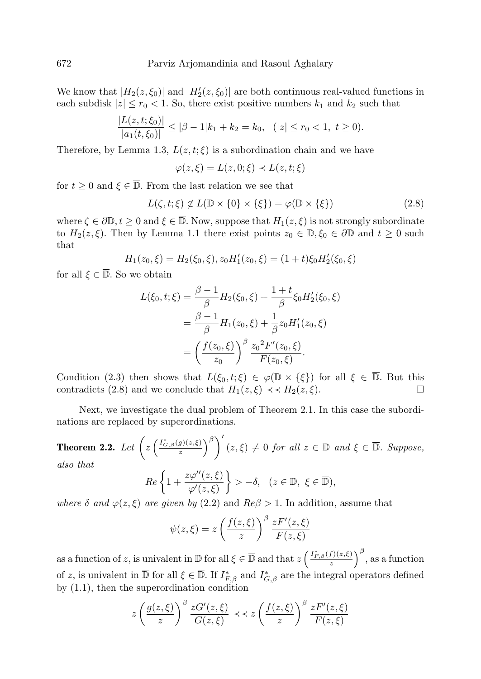We know that  $|H_2(z,\xi_0)|$  and  $|H_2'(z,\xi_0)|$  are both continuous real-valued functions in each subdisk  $|z| \le r_0 < 1$ . So, there exist positive numbers  $k_1$  and  $k_2$  such that

$$
\frac{|L(z,t;\xi_0)|}{|a_1(t,\xi_0)|} \leq |\beta - 1|k_1 + k_2 = k_0, \quad (|z| \leq r_0 < 1, \ t \geq 0).
$$

Therefore, by Lemma 1.3,  $L(z, t; \xi)$  is a subordination chain and we have

$$
\varphi(z,\xi) = L(z,0;\xi) \prec L(z,t;\xi)
$$

for  $t > 0$  and  $\xi \in \overline{\mathbb{D}}$ . From the last relation we see that

$$
L(\zeta, t; \xi) \notin L(\mathbb{D} \times \{0\} \times \{\xi\}) = \varphi(\mathbb{D} \times \{\xi\})
$$
\n(2.8)

where  $\zeta \in \partial \mathbb{D}, t \geq 0$  and  $\xi \in \overline{\mathbb{D}}$ . Now, suppose that  $H_1(z, \xi)$  is not strongly subordinate to  $H_2(z,\xi)$ . Then by Lemma 1.1 there exist points  $z_0 \in \mathbb{D}, \xi_0 \in \partial \mathbb{D}$  and  $t \geq 0$  such that

$$
H_1(z_0, \xi) = H_2(\xi_0, \xi), z_0 H'_1(z_0, \xi) = (1+t)\xi_0 H'_2(\xi_0, \xi)
$$

for all  $\xi \in \overline{\mathbb{D}}$ . So we obtain

$$
L(\xi_0, t; \xi) = \frac{\beta - 1}{\beta} H_2(\xi_0, \xi) + \frac{1 + t}{\beta} \xi_0 H'_2(\xi_0, \xi)
$$
  
= 
$$
\frac{\beta - 1}{\beta} H_1(z_0, \xi) + \frac{1}{\beta} z_0 H'_1(z_0, \xi)
$$
  
= 
$$
\left(\frac{f(z_0, \xi)}{z_0}\right)^{\beta} \frac{z_0^2 F'(z_0, \xi)}{F(z_0, \xi)}.
$$

Condition (2.3) then shows that  $L(\xi_0, t; \xi) \in \varphi(\mathbb{D} \times {\xi})$  for all  $\xi \in \overline{\mathbb{D}}$ . But this contradicts (2.8) and we conclude that  $H_1(z,\xi) \prec H_2(z,\xi)$ .

Next, we investigate the dual problem of Theorem 2.1. In this case the subordinations are replaced by superordinations.

**Theorem 2.2.** Let 
$$
\left(z\left(\frac{I_{G,\beta}^*(g)(z,\xi)}{z}\right)^{\beta}\right)'(z,\xi) \neq 0
$$
 for all  $z \in \mathbb{D}$  and  $\xi \in \overline{\mathbb{D}}$ . Suppose, also that

$$
Re\left\{1+\frac{z\varphi''(z,\xi)}{\varphi'(z,\xi)}\right\} > -\delta, \quad (z \in \mathbb{D}, \ \xi \in \overline{\mathbb{D}}),
$$

where  $\delta$  and  $\varphi(z,\xi)$  are given by (2.2) and  $Re\beta > 1$ . In addition, assume that

$$
\psi(z,\xi) = z \left(\frac{f(z,\xi)}{z}\right)^{\beta} \frac{zF'(z,\xi)}{F(z,\xi)}
$$

as a function of z, is univalent in  $\mathbb{D}$  for all  $\xi \in \overline{\mathbb{D}}$  and that  $z\left(\frac{I_{F,\beta}^*(f)(z,\xi)}{z}\right)^\beta$ , as a function of z, is univalent in  $\overline{\mathbb{D}}$  for all  $\xi \in \overline{\mathbb{D}}$ . If  $I_{F,\beta}^*$  and  $I_{G,\beta}^*$  are the integral operators defined by (1.1), then the superordination condition

$$
z\left(\frac{g(z,\xi)}{z}\right)^{\beta} \frac{zG'(z,\xi)}{G(z,\xi)} \prec\prec z\left(\frac{f(z,\xi)}{z}\right)^{\beta} \frac{zF'(z,\xi)}{F(z,\xi)}
$$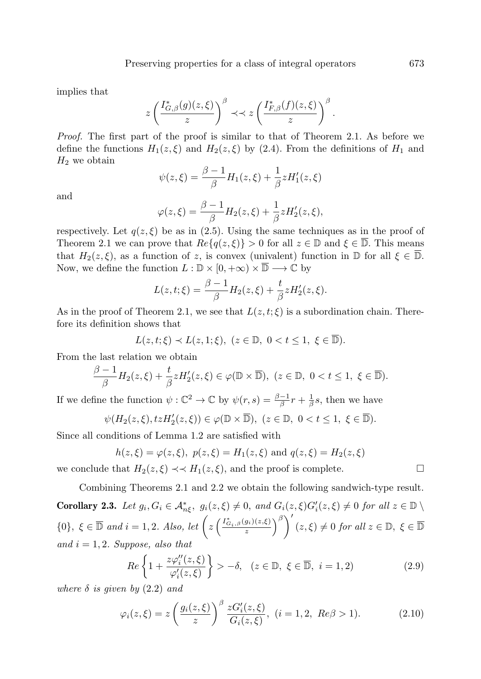implies that

$$
z\left(\frac{I_{G,\beta}^*(g)(z,\xi)}{z}\right)^{\beta} \prec z\left(\frac{I_{F,\beta}^*(f)(z,\xi)}{z}\right)^{\beta}
$$

Proof. The first part of the proof is similar to that of Theorem 2.1. As before we define the functions  $H_1(z,\xi)$  and  $H_2(z,\xi)$  by (2.4). From the definitions of  $H_1$  and  $H_2$  we obtain

$$
\psi(z,\xi) = \frac{\beta - 1}{\beta} H_1(z,\xi) + \frac{1}{\beta} z H'_1(z,\xi)
$$

and

$$
\varphi(z,\xi) = \frac{\beta - 1}{\beta} H_2(z,\xi) + \frac{1}{\beta} z H_2'(z,\xi),
$$

respectively. Let  $q(z,\xi)$  be as in (2.5). Using the same techniques as in the proof of Theorem 2.1 we can prove that  $Re\{q(z,\xi)\}\geq 0$  for all  $z\in\mathbb{D}$  and  $\xi\in\overline{\mathbb{D}}$ . This means that  $H_2(z,\xi)$ , as a function of z, is convex (univalent) function in  $\mathbb{D}$  for all  $\xi \in \mathbb{D}$ . Now, we define the function  $L : \mathbb{D} \times [0, +\infty) \times \overline{\mathbb{D}} \longrightarrow \mathbb{C}$  by

$$
L(z,t;\xi) = \frac{\beta - 1}{\beta}H_2(z,\xi) + \frac{t}{\beta}zH'_2(z,\xi).
$$

As in the proof of Theorem 2.1, we see that  $L(z, t; \xi)$  is a subordination chain. Therefore its definition shows that

$$
L(z,t;\xi) \prec L(z,1;\xi), \ (z \in \mathbb{D}, \ 0 < t \le 1, \ \xi \in \overline{\mathbb{D}}).
$$

From the last relation we obtain

$$
\frac{\beta-1}{\beta}H_2(z,\xi)+\frac{t}{\beta}zH'_2(z,\xi)\in\varphi(\mathbb{D}\times\overline{\mathbb{D}}),\ (z\in\mathbb{D},\ 0
$$

If we define the function  $\psi: \mathbb{C}^2 \to \mathbb{C}$  by  $\psi(r,s) = \frac{\beta - 1}{\beta}r + \frac{1}{\beta}s$ , then we have

$$
\psi(H_2(z,\xi),tzH'_2(z,\xi))\in\varphi(\mathbb{D}\times\overline{\mathbb{D}}),\ (z\in\mathbb{D},\ 0
$$

Since all conditions of Lemma 1.2 are satisfied with

$$
h(z,\xi) = \varphi(z,\xi), \ p(z,\xi) = H_1(z,\xi) \text{ and } q(z,\xi) = H_2(z,\xi)
$$

we conclude that  $H_2(z,\xi) \prec H_1(z,\xi)$ , and the proof is complete.

Combining Theorems 2.1 and 2.2 we obtain the following sandwich-type result. **Corollary 2.3.** Let  $g_i, G_i \in \mathcal{A}_{n\xi}^*$ ,  $g_i(z, \xi) \neq 0$ , and  $G_i(z, \xi)G_i'(z, \xi) \neq 0$  for all  $z \in \mathbb{D} \setminus \mathbb{D}$  $\{0\}, \xi \in \overline{\mathbb{D}} \text{ and } i = 1, 2. \text{ Also, let } \left(z \left( \frac{I_{G_i,\beta}^*(g_i)(z,\xi)}{z} \right)\right)$  $\left(\frac{g_i(z,\xi)}{z}\right)^{\beta}$   $(z,\xi) \neq 0$  for all  $z \in \mathbb{D}$ ,  $\xi \in \overline{\mathbb{D}}$ and  $i = 1, 2$ . Suppose, also that

$$
Re\left\{1+\frac{z\varphi_i''(z,\xi)}{\varphi_i'(z,\xi)}\right\} > -\delta, \quad (z \in \mathbb{D}, \ \xi \in \overline{\mathbb{D}}, \ i=1,2) \tag{2.9}
$$

where  $\delta$  is given by  $(2.2)$  and

$$
\varphi_i(z,\xi) = z \left(\frac{g_i(z,\xi)}{z}\right)^{\beta} \frac{zG'_i(z,\xi)}{G_i(z,\xi)}, \ (i = 1, 2, \ Re\beta > 1). \tag{2.10}
$$

.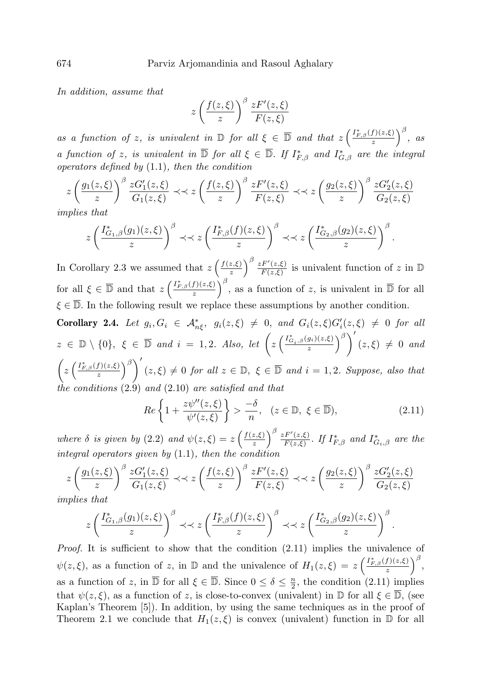In addition, assume that

$$
z\left(\frac{f(z,\xi)}{z}\right)^{\beta} \frac{zF'(z,\xi)}{F(z,\xi)}
$$

as a function of z, is univalent in  $\mathbb D$  for all  $\xi \in \overline{\mathbb D}$  and that  $z\left(\frac{I_{F,\beta}^*(f)(z,\xi)}{z}\right)^{\beta}$ , as a function of z, is univalent in  $\overline{D}$  for all  $\xi \in \overline{D}$ . If  $I_{F,\beta}^*$  and  $I_{G,\beta}^*$  are the integral operators defined by  $(1.1)$ , then the condition

$$
z\left(\frac{g_1(z,\xi)}{z}\right)^{\beta} \frac{zG_1'(z,\xi)}{G_1(z,\xi)} \prec\prec z\left(\frac{f(z,\xi)}{z}\right)^{\beta} \frac{zF'(z,\xi)}{F(z,\xi)} \prec\prec z\left(\frac{g_2(z,\xi)}{z}\right)^{\beta} \frac{zG_2'(z,\xi)}{G_2(z,\xi)}
$$

implies that

$$
z\left(\frac{I_{G_1,\beta}^*(g_1)(z,\xi)}{z}\right)^\beta \prec\prec z\left(\frac{I_{F,\beta}^*(f)(z,\xi)}{z}\right)^\beta \prec\prec z\left(\frac{I_{G_2,\beta}^*(g_2)(z,\xi)}{z}\right)^\beta.
$$

In Corollary 2.3 we assumed that  $z\left(\frac{f(z,\xi)}{z}\right)$  $\left(\frac{z,\xi}{z}\right)^{\beta} \frac{zF'(z,\xi)}{F(z,\xi)}$  $\frac{F'(z,\xi)}{F(z,\xi)}$  is univalent function of z in  $\mathbb D$ for all  $\xi \in \overline{\mathbb{D}}$  and that  $z\left(\frac{I_{F,\beta}^*(f)(z,\xi)}{z}\right)^{\beta}$ , as a function of z, is univalent in  $\overline{\mathbb{D}}$  for all  $\xi \in \overline{\mathbb{D}}$ . In the following result we replace these assumptions by another condition.

Corollary 2.4. Let  $g_i, G_i \in \mathcal{A}_{n\xi}^*, g_i(z, \xi) \neq 0$ , and  $G_i(z, \xi)G_i'(z, \xi) \neq 0$  for all  $z \in \mathbb{D} \setminus \{0\}, \xi \in \overline{\mathbb{D}} \text{ and } i = 1, 2.$  Also, let  $\left(z\left(\frac{I_{G_i,\beta}^*(g_i)(z,\xi)}{z}\right)\right)$  $\left(\frac{g_i(z,\xi)}{z}\right)^{\beta}$   $(z,\xi) \neq 0$  and  $\left(z\left(\frac{I_{F,\beta}^*(f)(z,\xi)}{z}\right)^{\beta}\right)'(z,\xi) \neq 0$  for all  $z \in \mathbb{D}$ ,  $\xi \in \overline{\mathbb{D}}$  and  $i = 1,2$ . Suppose, also that the conditions (2.9) and (2.10) are satisfied and that

$$
Re\left\{1+\frac{z\psi''(z,\xi)}{\psi'(z,\xi)}\right\} > \frac{-\delta}{n}, \quad (z \in \mathbb{D}, \ \xi \in \overline{\mathbb{D}}),\tag{2.11}
$$

where  $\delta$  is given by (2.2) and  $\psi(z,\xi) = z \left( \frac{f(z,\xi)}{z} \right)$  $\left(\frac{z,\xi}{z}\right)^{\beta} \frac{zF'(z,\xi)}{F(z,\xi)}$  $\frac{F^{F^{\prime}(z,\xi)}}{F(z,\xi)}$ . If  $I_{F,\beta}^{*}$  and  $I_{G_i,\beta}^{*}$  are the integral operators given by  $(1.1)$ , then the condition

$$
z\left(\frac{g_1(z,\xi)}{z}\right)^{\beta} \frac{zG'_1(z,\xi)}{G_1(z,\xi)} \prec\prec z\left(\frac{f(z,\xi)}{z}\right)^{\beta} \frac{zF'(z,\xi)}{F(z,\xi)} \prec\prec z\left(\frac{g_2(z,\xi)}{z}\right)^{\beta} \frac{zG'_2(z,\xi)}{G_2(z,\xi)}
$$

implies that

$$
z\left(\frac{I_{G_1,\beta}^*(g_1)(z,\xi)}{z}\right)^{\beta} \prec z\left(\frac{I_{F,\beta}^*(f)(z,\xi)}{z}\right)^{\beta} \prec z\left(\frac{I_{G_2,\beta}^*(g_2)(z,\xi)}{z}\right)^{\beta}.
$$

*Proof.* It is sufficient to show that the condition  $(2.11)$  implies the univalence of  $\psi(z,\xi)$ , as a function of z, in  $\mathbb D$  and the univalence of  $H_1(z,\xi) = z \left(\frac{I_{F,\beta}^*(f)(z,\xi)}{z}\right)^{\beta}$ , as a function of z, in  $\overline{D}$  for all  $\xi \in \overline{D}$ . Since  $0 \le \delta \le \frac{n}{2}$ , the condition (2.11) implies that  $\psi(z,\xi)$ , as a function of z, is close-to-convex (univalent) in D for all  $\xi \in \overline{\mathbb{D}}$ , (see Kaplan's Theorem [5]). In addition, by using the same techniques as in the proof of Theorem 2.1 we conclude that  $H_1(z,\xi)$  is convex (univalent) function in  $\mathbb D$  for all